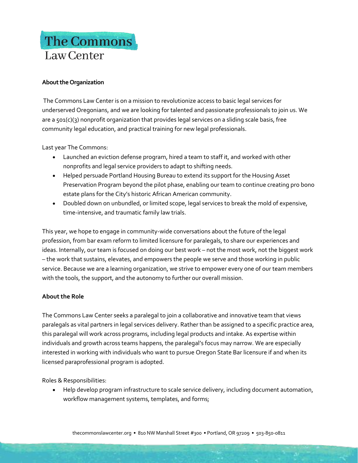## The Commons Law Center

## **About the Organization**

The Commons Law Center is on a mission to revolutionize access to basic legal services for underserved Oregonians, and we are looking for talented and passionate professionals to join us. We are a 501(c)(3) nonprofit organization that provides legal services on a sliding scale basis, free community legal education, and practical training for new legal professionals.

Last year The Commons:

- Launched an eviction defense program, hired a team to staff it, and worked with other nonprofits and legal service providers to adapt to shifting needs.
- Helped persuade Portland Housing Bureau to extend its support for the Housing Asset Preservation Program beyond the pilot phase, enabling our team to continue creating pro bono estate plans for the City's historic African American community.
- Doubled down on unbundled, or limited scope, legal services to break the mold of expensive, time-intensive, and traumatic family law trials.

This year, we hope to engage in community-wide conversations about the future of the legal profession, from bar exam reform to limited licensure for paralegals, to share our experiences and ideas. Internally, our team is focused on doing our best work – not the most work, not the biggest work – the work that sustains, elevates, and empowers the people we serve and those working in public service. Because we are a learning organization, we strive to empower every one of our team members with the tools, the support, and the autonomy to further our overall mission.

## **About the Role**

The Commons Law Center seeks a paralegal to join a collaborative and innovative team that views paralegals as vital partners in legal services delivery. Rather than be assigned to a specific practice area, this paralegal will work across programs, including legal products and intake. As expertise within individuals and growth across teams happens, the paralegal's focus may narrow. We are especially interested in working with individuals who want to pursue Oregon State Bar licensure if and when its licensed paraprofessional program is adopted.

Roles & Responsibilities:

• Help develop program infrastructure to scale service delivery, including document automation, workflow management systems, templates, and forms;